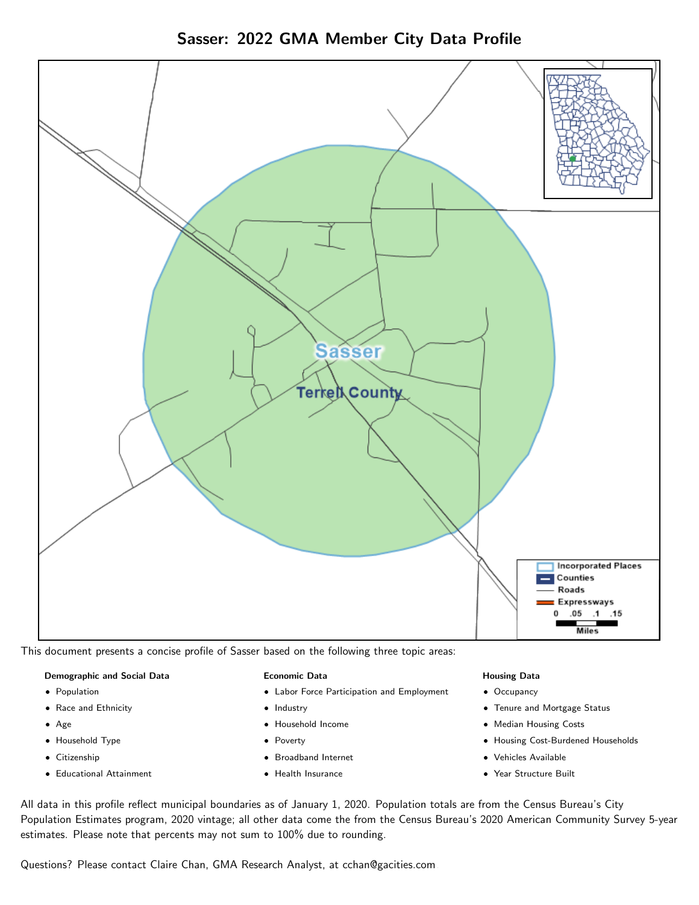



This document presents a concise profile of Sasser based on the following three topic areas:

### Demographic and Social Data

- **•** Population
- Race and Ethnicity
- Age
- Household Type
- **Citizenship**
- Educational Attainment

### Economic Data

- Labor Force Participation and Employment
- Industry
- Household Income
- Poverty
- Broadband Internet
- Health Insurance

### Housing Data

- Occupancy
- Tenure and Mortgage Status
- Median Housing Costs
- Housing Cost-Burdened Households
- Vehicles Available
- Year Structure Built

All data in this profile reflect municipal boundaries as of January 1, 2020. Population totals are from the Census Bureau's City Population Estimates program, 2020 vintage; all other data come the from the Census Bureau's 2020 American Community Survey 5-year estimates. Please note that percents may not sum to 100% due to rounding.

Questions? Please contact Claire Chan, GMA Research Analyst, at [cchan@gacities.com.](mailto:cchan@gacities.com)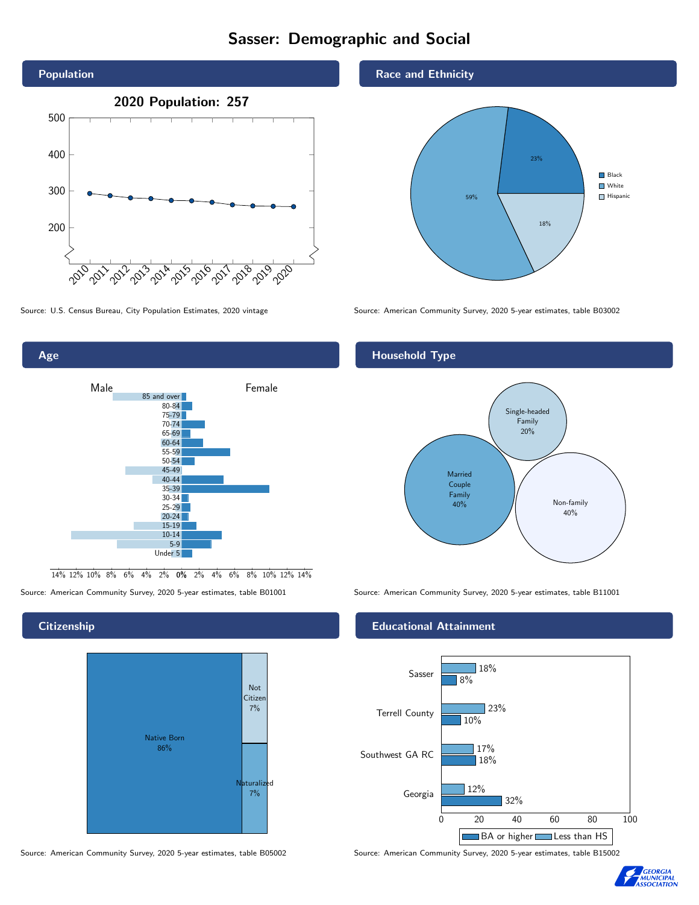# Sasser: Demographic and Social





## **Citizenship**



Source: American Community Survey, 2020 5-year estimates, table B05002 Source: American Community Survey, 2020 5-year estimates, table B15002

## Race and Ethnicity



Source: U.S. Census Bureau, City Population Estimates, 2020 vintage Source: American Community Survey, 2020 5-year estimates, table B03002

## Household Type



Source: American Community Survey, 2020 5-year estimates, table B01001 Source: American Community Survey, 2020 5-year estimates, table B11001

## Educational Attainment



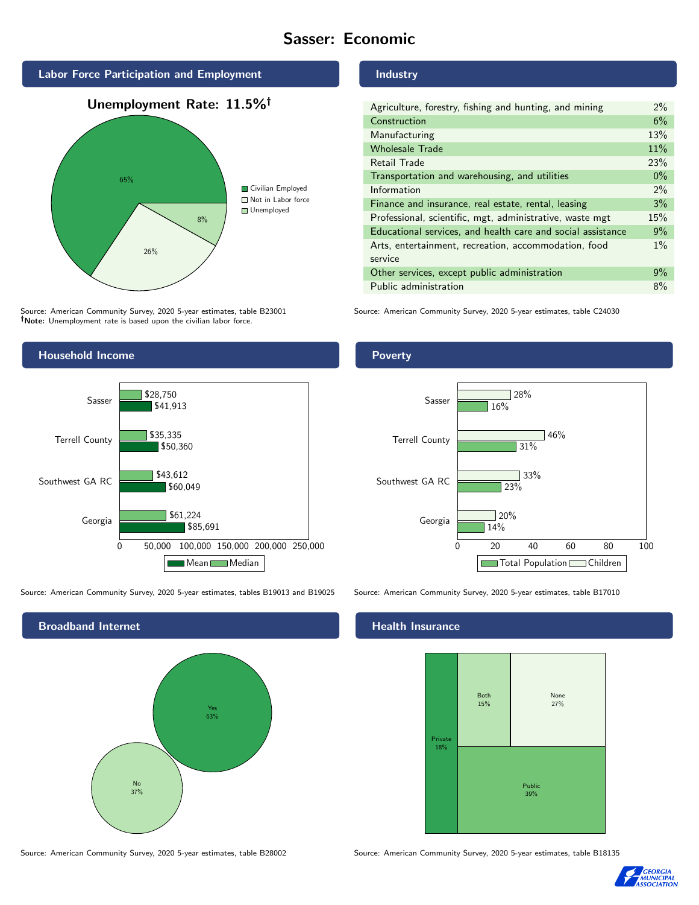# Sasser: Economic







Source: American Community Survey, 2020 5-year estimates, table B23001 Note: Unemployment rate is based upon the civilian labor force.

# Industry

| Agriculture, forestry, fishing and hunting, and mining      | $2\%$ |
|-------------------------------------------------------------|-------|
| Construction                                                | 6%    |
| Manufacturing                                               | 13%   |
| <b>Wholesale Trade</b>                                      | 11%   |
| Retail Trade                                                | 23%   |
| Transportation and warehousing, and utilities               | $0\%$ |
| Information                                                 | $2\%$ |
| Finance and insurance, real estate, rental, leasing         | 3%    |
| Professional, scientific, mgt, administrative, waste mgt    | 15%   |
| Educational services, and health care and social assistance | 9%    |
| Arts, entertainment, recreation, accommodation, food        | $1\%$ |
| service                                                     |       |
| Other services, except public administration                | 9%    |
| Public administration                                       | 8%    |

Source: American Community Survey, 2020 5-year estimates, table C24030



Source: American Community Survey, 2020 5-year estimates, tables B19013 and B19025 Source: American Community Survey, 2020 5-year estimates, table B17010



Poverty



## **Health Insurance**



Source: American Community Survey, 2020 5-year estimates, table B28002 Source: American Community Survey, 2020 5-year estimates, table B18135